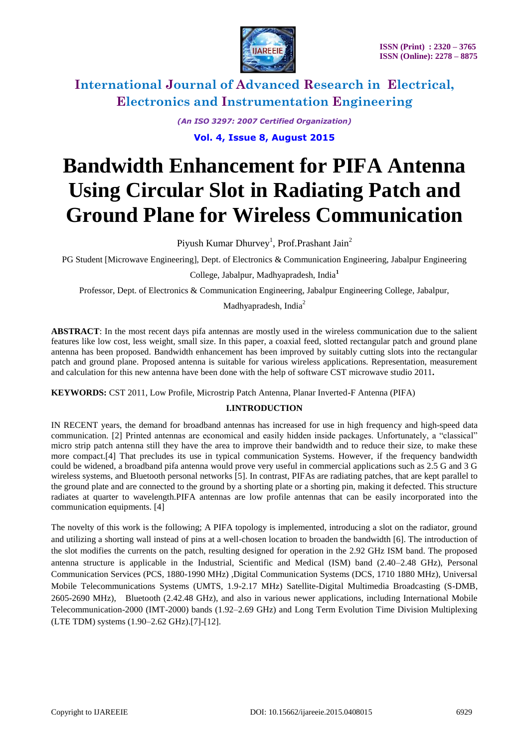

*(An ISO 3297: 2007 Certified Organization)*

**Vol. 4, Issue 8, August 2015**

# **Bandwidth Enhancement for PIFA Antenna Using Circular Slot in Radiating Patch and Ground Plane for Wireless Communication**

Piyush Kumar Dhurvey<sup>1</sup>, Prof.Prashant Jain<sup>2</sup>

PG Student [Microwave Engineering], Dept. of Electronics & Communication Engineering, Jabalpur Engineering

College, Jabalpur, Madhyapradesh, India**<sup>1</sup>**

Professor, Dept. of Electronics & Communication Engineering, Jabalpur Engineering College, Jabalpur,

Madhyapradesh, India<sup>2</sup>

**ABSTRACT**: In the most recent days pifa antennas are mostly used in the wireless communication due to the salient features like low cost, less weight, small size. In this paper, a coaxial feed, slotted rectangular patch and ground plane antenna has been proposed. Bandwidth enhancement has been improved by suitably cutting slots into the rectangular patch and ground plane. Proposed antenna is suitable for various wireless applications. Representation, measurement and calculation for this new antenna have been done with the help of software CST microwave studio 2011*.*

**KEYWORDS:** CST 2011, Low Profile, Microstrip Patch Antenna, Planar Inverted-F Antenna (PIFA)

### **I.INTRODUCTION**

IN RECENT years, the demand for broadband antennas has increased for use in high frequency and high-speed data communication. [2] Printed antennas are economical and easily hidden inside packages. Unfortunately, a "classical" micro strip patch antenna still they have the area to improve their bandwidth and to reduce their size, to make these more compact.[4] That precludes its use in typical communication Systems. However, if the frequency bandwidth could be widened, a broadband pifa antenna would prove very useful in commercial applications such as 2.5 G and 3 G wireless systems, and Bluetooth personal networks [5]. In contrast, PIFAs are radiating patches, that are kept parallel to the ground plate and are connected to the ground by a shorting plate or a shorting pin, making it defected. This structure radiates at quarter to wavelength.PIFA antennas are low profile antennas that can be easily incorporated into the communication equipments. [4]

The novelty of this work is the following; A PIFA topology is implemented, introducing a slot on the radiator, ground and utilizing a shorting wall instead of pins at a well-chosen location to broaden the bandwidth [6]. The introduction of the slot modifies the currents on the patch, resulting designed for operation in the 2.92 GHz ISM band. The proposed antenna structure is applicable in the Industrial, Scientific and Medical (ISM) band (2.40–2.48 GHz), Personal Communication Services (PCS, 1880-1990 MHz) ,Digital Communication Systems (DCS, 1710 1880 MHz), Universal Mobile Telecommunications Systems (UMTS, 1.9-2.17 MHz) Satellite-Digital Multimedia Broadcasting (S-DMB, 2605-2690 MHz), Bluetooth (2.42.48 GHz), and also in various newer applications, including International Mobile Telecommunication-2000 (IMT-2000) bands (1.92–2.69 GHz) and Long Term Evolution Time Division Multiplexing (LTE TDM) systems (1.90–2.62 GHz).[7]-[12].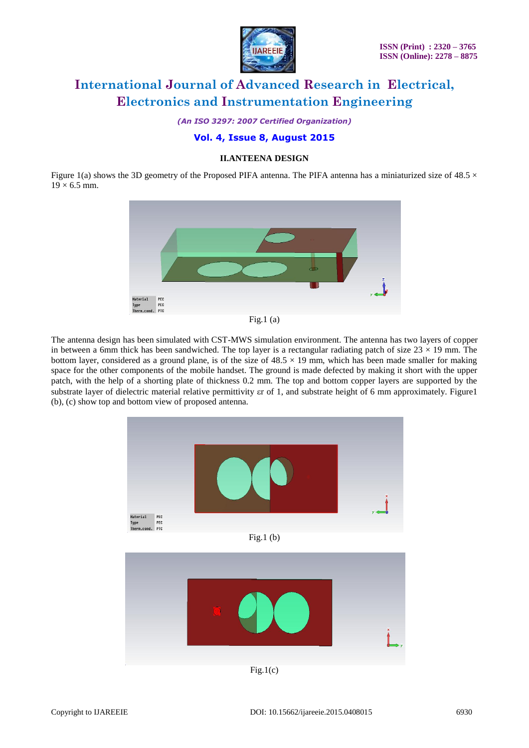

*(An ISO 3297: 2007 Certified Organization)*

### **Vol. 4, Issue 8, August 2015**

#### **II.ANTEENA DESIGN**

Figure 1(a) shows the 3D geometry of the Proposed PIFA antenna. The PIFA antenna has a miniaturized size of 48.5  $\times$  $19 \times 6.5$  mm.





The antenna design has been simulated with CST-MWS simulation environment. The antenna has two layers of copper in between a 6mm thick has been sandwiched. The top layer is a rectangular radiating patch of size  $23 \times 19$  mm. The bottom layer, considered as a ground plane, is of the size of  $48.5 \times 19$  mm, which has been made smaller for making space for the other components of the mobile handset. The ground is made defected by making it short with the upper patch, with the help of a shorting plate of thickness 0.2 mm. The top and bottom copper layers are supported by the substrate layer of dielectric material relative permittivity ar of 1, and substrate height of 6 mm approximately. Figure1 (b), (c) show top and bottom view of proposed antenna.

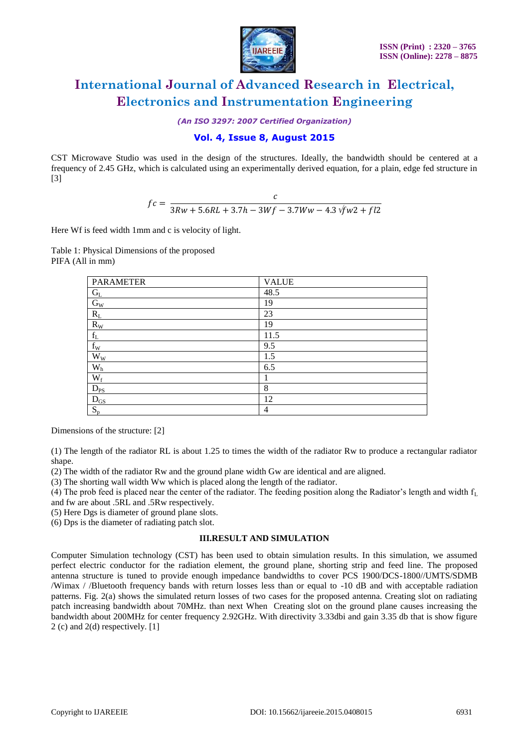

*(An ISO 3297: 2007 Certified Organization)*

#### **Vol. 4, Issue 8, August 2015**

CST Microwave Studio was used in the design of the structures. Ideally, the bandwidth should be centered at a frequency of 2.45 GHz, which is calculated using an experimentally derived equation, for a plain, edge fed structure in [3]

$$
fc = \frac{c}{3Rw + 5.6RL + 3.7h - 3Wf - 3.7Ww - 4.3\sqrt{f}w^2 + fl^2}
$$

Here Wf is feed width 1mm and c is velocity of light.

Table 1: Physical Dimensions of the proposed PIFA (All in mm)

| <b>PARAMETER</b>          | <b>VALUE</b> |
|---------------------------|--------------|
| $G_{L}$                   | 48.5         |
| $\rm G_{W}$               | 19           |
| $R_{\rm L}$               | 23           |
| $\mathbf{R}_{\mathbf{W}}$ | 19           |
| $\mathbf{f}_\mathrm{L}$   | 11.5         |
| $f_{\rm W}$               | 9.5          |
| $W_W$                     | 1.5          |
| $\mathbf{W}_\mathrm{h}$   | 6.5          |
| $W_f$                     |              |
| $D_{PS}$                  | 8            |
| $D_{GS}$                  | 12           |
| $S_p$                     | 4            |

Dimensions of the structure: [2]

(1) The length of the radiator RL is about 1.25 to times the width of the radiator Rw to produce a rectangular radiator shape.

(2) The width of the radiator Rw and the ground plane width Gw are identical and are aligned.

(3) The shorting wall width Ww which is placed along the length of the radiator.

(4) The prob feed is placed near the center of the radiator. The feeding position along the Radiator's length and width  $f_L$ 

and fw are about .5RL and .5Rw respectively.

(5) Here Dgs is diameter of ground plane slots.

(6) Dps is the diameter of radiating patch slot.

#### **III.RESULT AND SIMULATION**

Computer Simulation technology (CST) has been used to obtain simulation results. In this simulation, we assumed perfect electric conductor for the radiation element, the ground plane, shorting strip and feed line. The proposed antenna structure is tuned to provide enough impedance bandwidths to cover PCS 1900/DCS-1800//UMTS/SDMB /Wimax / /Bluetooth frequency bands with return losses less than or equal to -10 dB and with acceptable radiation patterns. Fig. 2(a) shows the simulated return losses of two cases for the proposed antenna. Creating slot on radiating patch increasing bandwidth about 70MHz. than next When Creating slot on the ground plane causes increasing the bandwidth about 200MHz for center frequency 2.92GHz. With directivity 3.33dbi and gain 3.35 db that is show figure 2 (c) and 2(d) respectively. [1]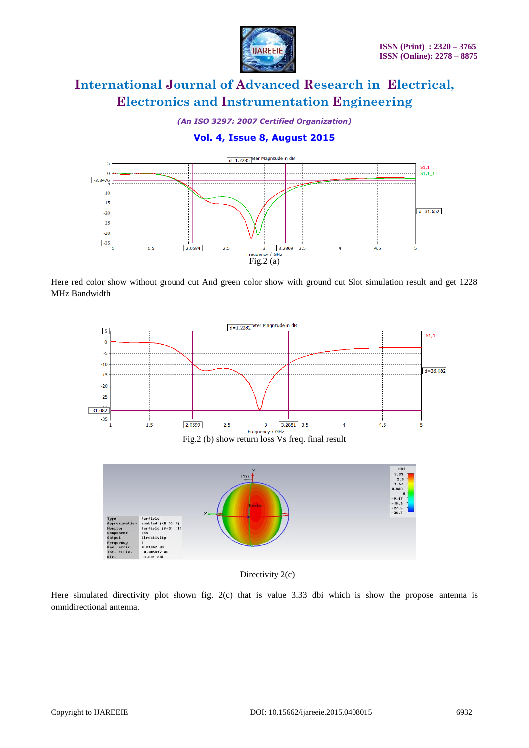

*(An ISO 3297: 2007 Certified Organization)*

### **Vol. 4, Issue 8, August 2015**



Here red color show without ground cut And green color show with ground cut Slot simulation result and get 1228 MHz Bandwidth



Directivity 2(c)

Here simulated directivity plot shown fig. 2(c) that is value 3.33 dbi which is show the propose antenna is omnidirectional antenna.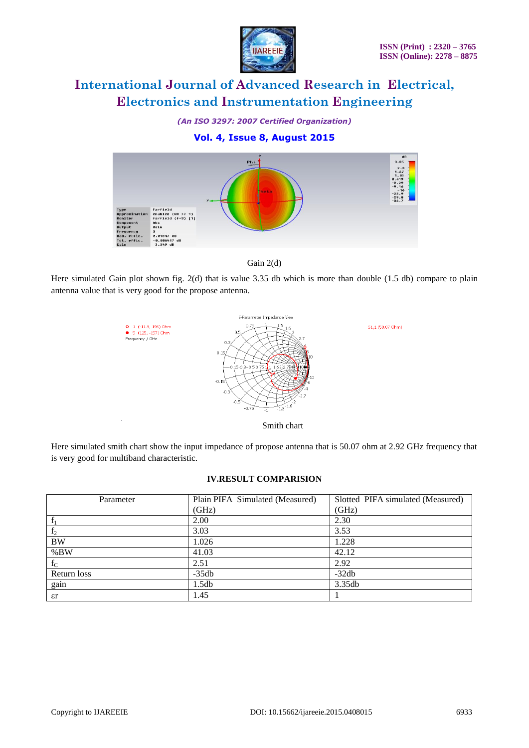

*(An ISO 3297: 2007 Certified Organization)*

### **Vol. 4, Issue 8, August 2015**



Gain 2(d)

Here simulated Gain plot shown fig. 2(d) that is value 3.35 db which is more than double (1.5 db) compare to plain antenna value that is very good for the propose antenna.



Here simulated smith chart show the input impedance of propose antenna that is 50.07 ohm at 2.92 GHz frequency that is very good for multiband characteristic.

#### **IV.RESULT COMPARISION**

| Parameter      | Plain PIFA Simulated (Measured) | Slotted PIFA simulated (Measured) |
|----------------|---------------------------------|-----------------------------------|
|                | (GHz)                           | (GHz)                             |
| $\mathbf f$    | 2.00                            | 2.30                              |
| f <sub>2</sub> | 3.03                            | 3.53                              |
| <b>BW</b>      | 1.026                           | 1.228                             |
| %BW            | 41.03                           | 42.12                             |
| $f_C$          | 2.51                            | 2.92                              |
| Return loss    | $-35db$                         | $-32db$                           |
| gain           | 1.5db                           | 3.35db                            |
| $\epsilon r$   | 1.45                            |                                   |